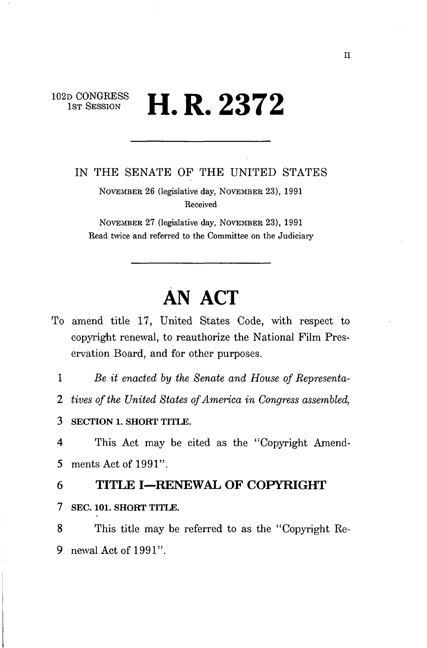# 102D CONGRESS **II D 0070**  $1$ ST SESSION **II. N.**  $\blacktriangle$ *O*

IN THE SENATE OF THE UNITED STATES

NOVEMBER 26 (legislative day, NOVEMBER 23), 1991 Received

NOVEMBER 27 (legislative day, NOVEMBER 23), 1991 Read twice and referred to the Committee on the Judiciary

# **AN ACT**

To amend title 17, United States Code, with respect to copyright renewal, to reauthorize the National Film Preservation Board, and for other purposes.

1 *Be it enacted by the Senate and House of Representa-*

2 *tives of the United States of America in Congress assembled,* 

3 SECTION 1. SHORT TITLE.

4 This Act may be cited as the "Copyright Amend-5 ments Act of 1991".

- 6 **TITLE I—RENEWAL OF COPYRIGHT**
- 7 SEC. 101. SHORT TITLE.

8 This title may be referred to as the "Copyright Re-9 newal Act of 1991".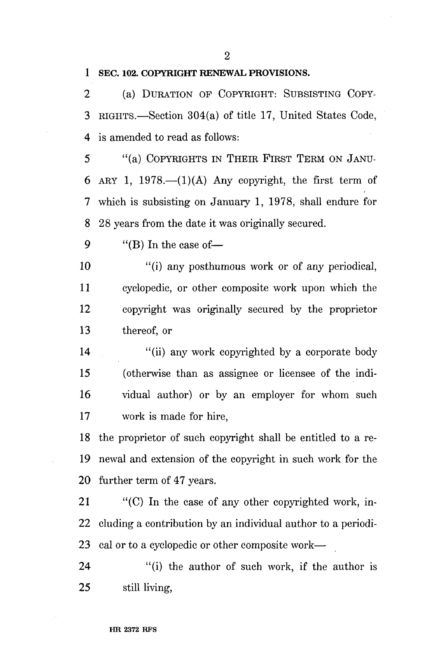**1 SEC. 102. COPYRIGHT RENEWAL PROVISIONS.** 

2 (a) DURATION OF COPYRIGHT: SUBSISTING COPY-3 RIGHTS.—Section 304(a) of title 17, United States Code, 4 is amended to read as follows:

5 "(a) COPYRIGHTS IN THEIR FIRST TERM ON JANU-6 ARY 1, 1978.— $(1)(A)$  Any copyright, the first term of 7 which is subsisting on January 1, 1978, shall endure for 8 28 years from the date it was originally secured.

9  $"$ (B) In the case of  $-$ 

10 "(i) any posthumous work or of any periodical, 11 cyclopedic, or other composite work upon which the 12 copyright was originally secured by the proprietor 13 thereof, or

14 "(ii) any work copyrighted by a corporate body" 15 (otherwise than as assignee or licensee of the indi-16 vidual author) or by an employer for whom such 17 work is made for hire,

18 the proprietor of such copyright shall be entitled to a re-19 newal and extension of the copyright in such work for the 20 further term of 47 years.

21 "(C) In the case of any other copyrighted work, in-22 eluding a contribution by an individual author to a periodi-23 cal or to a cyclopedic or other composite work—

24 "(i) the author of such work, if the author is 25 still living,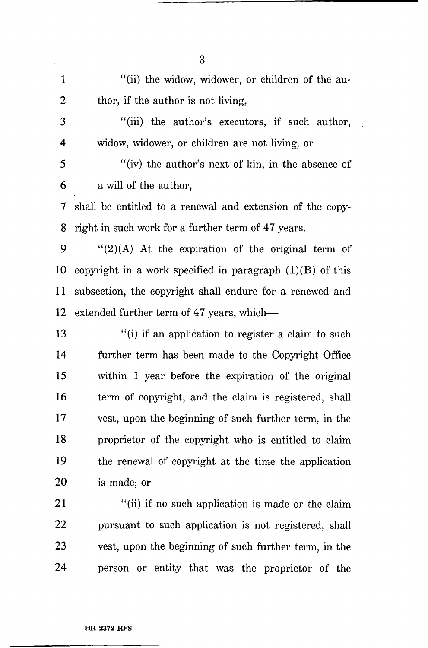1 "(ii) the widow, widower, or children of the au-2 thor, if the author is not living, 3 "(hi) the author's executors, if such author, 4 widow, widower, or children are not living, or 5 "(iv) the author's next of kin, in the absence of 6 a will of the author, 7 shall be entitled to a renewal and extension of the copy-8 right in such work for a further term of 47 years. 9  $\frac{1}{2}(A)$  At the expiration of the original term of 10 copyright in a work specified in paragraph (1)(B) of this 11 subsection, the copyright shall endure for a renewed and 12 extended further term of 47 years, which— 13 "(i) if an application to register a claim to such 14 further term has been made to the Copyright Office 15 within 1 year before the expiration of the original 16 term of copyright, and the claim is registered, shall 17 vest, upon the beginning of such further term, in the 18 proprietor of the copyright who is entitled to claim 19 the renewal of copyright at the time the application 20 is made; or 21 "(ii) if no such application is made or the claim 22 pursuant to such application is not registered, shall 23 vest, upon the beginning of such further term, in the

24 person or entity that was the proprietor of the

**HR 2372 RFS** 

3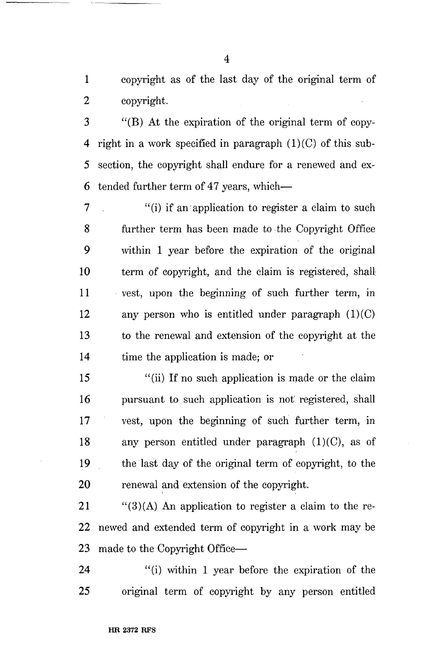1 copyright as of the last day of the original term of 2 copyright.

3 "(B) At the expiration of the original term of copy-4 right in a work specified in paragraph  $(1)(C)$  of this sub-5 section, the copyright shall endure for a renewed and ex-6 tended further term of 47 years, which—

 $7$  (i) if an application to register a claim to such 8 further term has been made to the Copyright Office 9 within 1 year before the expiration of the original 10 term of copyright, and the claim is registered, shall 11 vest, upon the beginning of such further term, in 12 any person who is entitled under paragraph  $(1)(C)$ 13 to the renewal and extension of the copyright at the 14 time the application is made; or

15 "(ii) If no such application is made or the claim 16 pursuant to such application is not registered, shall 17 vest, upon the beginning of such further term, in 18 any person entitled under paragraph  $(1)(C)$ , as of 19 the last day of the original term of copyright, to the 20 renewal and extension of the copyright.

21  $\frac{1}{2}$  (3)(A) An application to register a claim to the re-22 newed and extended term of copyright in a work may be 23 made to the Copyright Office—

24 "(i) within 1 year before the expiration of the 25 original term of copyright by any person entitled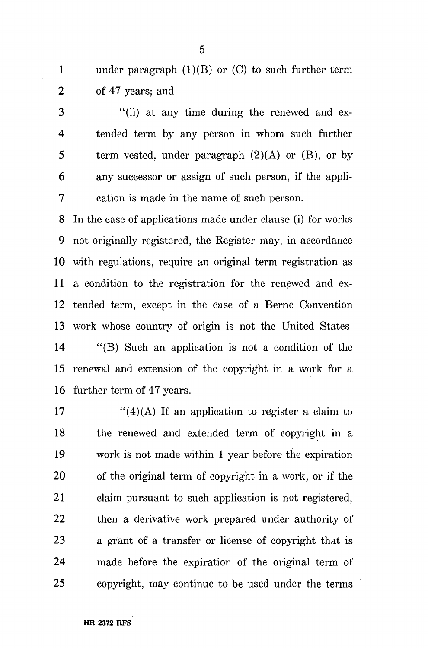1 under paragraph (1)(B) or (C) to such further term 2 of 47 years; and

3 "(ii) at any time during the renewed and ex-4 tended term by any person in whom such further 5 term vested, under paragraph  $(2)(A)$  or  $(B)$ , or by 6 any successor or assign of such person, if the appli-7 cation is made in the name of such person.

8 In the case of applications made under clause (i) for works 9 not originally registered, the Register may, in accordance 10 with regulations, require an original term registration as 11 a condition to the registration for the renewed and ex-12 tended term, except in the case of a Berne Convention 13 work whose country of origin is not the United States. 14 "(B) Such an application is not a condition of the 15 renewal and extension of the copyright in a work for a

16 further term of 47 years.

17  $\frac{17}{2}$  (4)(A) If an application to register a claim to 18 the renewed and extended term of copyright in a 19 work is not made within 1 year before the expiration 20 of the original term of copyright in a work, or if the 21 claim pursuant to such application is not registered, 22 then a derivative work prepared under authority of 23 a grant of a transfer or license of copyright that is 24 made before the expiration of the original term of 25 copyright, may continue to be used under the terms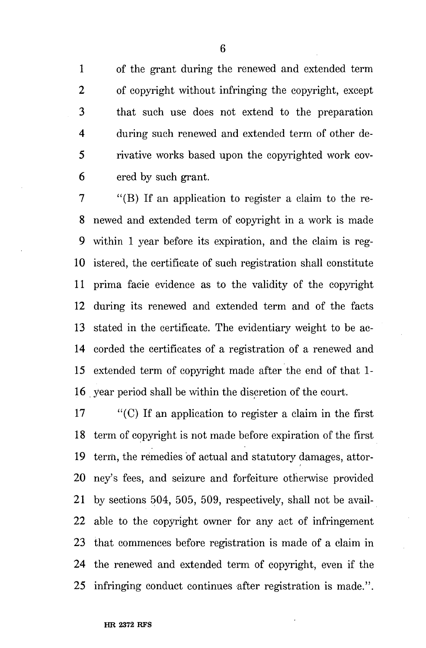1 of the grant during the renewed and extended term 2 of copyright without infringing the copyright, except 3 that such use does not extend to the preparation 4 during such renewed and extended term of other de-5 rivative works based upon the copyrighted work cov-6 ered by such grant.

7 "(B) If an application to register a claim to the re-8 newed and extended term of copyright in a work is made 9 within 1 year before its expiration, and the claim is reg-10 istered, the certificate of such registration shall constitute 11 prima facie evidence as to the validity of the copyright 12 during its renewed and extended term and of the facts 13 stated in the certificate. The evidentiary weight to be ac-14 corded the certificates of a registration of a renewed and 15 extended term of copyright made after the end of that 1- 16 year period shall be within the discretion of the court.

17 "(C) If an application to register a claim in the first 18 term of copyright is not made before expiration of the first 19 term, the remedies of actual and statutory damages, attor-20 ney's fees, and seizure and forfeiture otherwise provided 21 by sections 504, 505, 509, respectively, shall not be avail-22 able to the copyright owner for any act of infringement 23 that commences before registration is made of a claim in 24 the renewed and extended term of copyright, even if the 25 infringing conduct continues after registration is made.".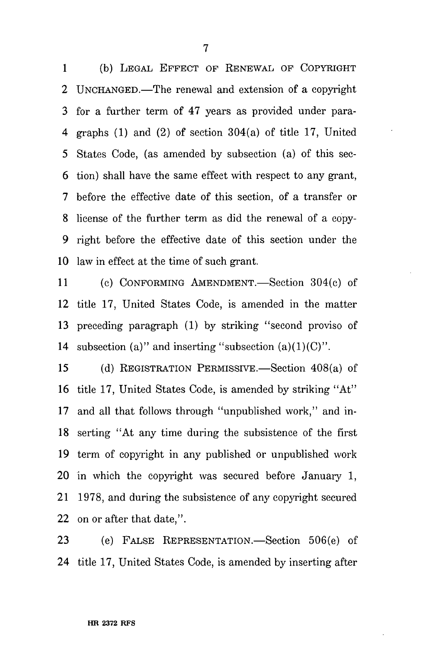1 (b) LEGAL EFFECT OF RENEWAL OF COPYRIGHT 2 UNCHANGED.—The renewal and extension of a copyright 3 for a further term of 47 years as provided under para-4 graphs (1) and (2) of section 304(a) of title 17, United 5 States Code, (as amended by subsection (a) of this sec-6 tion) shall have the same effect with respect to any grant, 7 before the effective date of this section, of a transfer or 8 license of the farther term as did the renewal of a copy-9 right before the effective date of this section under the 10 law in effect at the time of such grant.

11 (c) CONFORMING AMENDMENT.—Section 304(c) of 12 title 17, United States Code, is amended in the matter 13 preceding paragraph (1) by striking "second proviso of 14 subsection (a)" and inserting "subsection  $(a)(1)(C)$ ".

15 (d) REGISTRATION PERMISSIVE.—Section 408(a) of 16 title 17, United States Code, is amended by striking "At" 17 and all that follows through "unpublished work," and in-18 serting "At any time during the subsistence of the first 19 term of copyright in any published or unpublished work 20 in which the copyright was secured before January 1, 21 1978, and during the subsistence of any copyright secured 22 on or after that date,".

23 (e) FALSE REPRESENTATION.—Section 506(e) of 24 title 17, United States Code, is amended by inserting after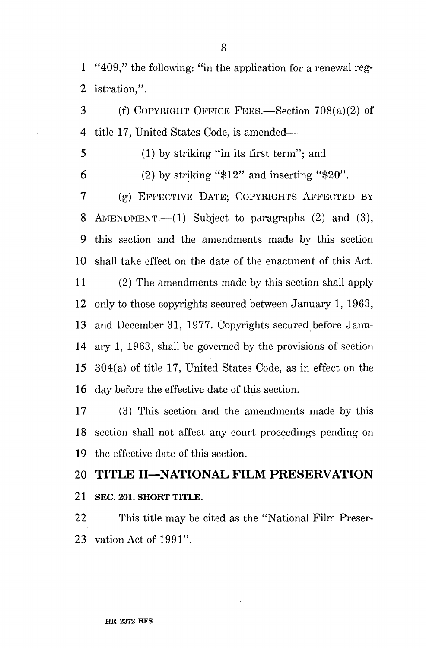1 "409," the following: "in the application for a renewal reg-2 istration,".

3 (f) COPYRIGHT OFFICE FEES.—Section 708(a)(2) of 4 title 17, United States Code, is amended—

5 (1) by striking "in its first term"; and

6 (2) by striking " $$12"$  and inserting " $$20"$ .

7 (g) EFFECTIVE DATE; COPYRIGHTS AFFECTED BY 8 AMENDMENT.—(1) Subject to paragraphs (2) and (3), 9 this section and the amendments made by this section 10 shall take effect on the date of the enactment of this Act.

11 (2) The amendments made by this section shall apply 12 only to those copyrights secured between January 1, 1963, 13 and December 31, 1977. Copyrights secured before Janu-14 ary 1, 1963, shall be governed by the provisions of section 15 304(a) of title 17, United States Code, as in effect on the 16 day before the effective date of this section.

17 (3) This section and the amendments made by this 18 section shall not affect any court proceedings pending on 19 the effective date of this section.

# 20 **TITLE II—NATIONAL FILM PRESERVATION**

21 SEC. 201. SHORT TITLE.

22 This title may be cited as the "National Film Preser-23 vation Act of 1991".

#### **HR 2372 RFS**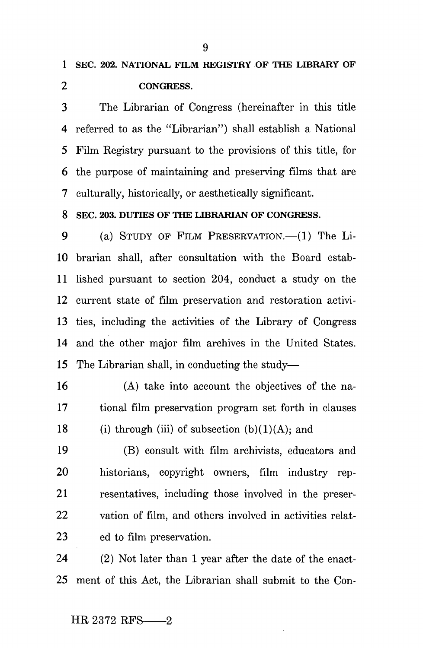3 The Librarian of Congress (hereinafter in this title 4 referred to as the "Librarian") shall establish a National 5 Film Registry pursuant to the provisions of this title, for 6 the purpose of maintaining and preserving films that are 7 culturally, historically, or aesthetically significant.

**8 SEC. 203. DUTIES OF THE LIBRARIAN OF CONGRESS.** 

9 (a) STUDY OF FILM PRESERVATION.—(1) The Li-10 brarian shall, after consultation with the Board estab-11 lished pursuant to section 204, conduct a study on the 12 current state of film preservation and restoration activi-13 ties, including the activities of the Library of Congress 14 and the other major film archives in the United States. 15 The Librarian shall, in conducting the study—

16 (A) take into account the objectives of the na-17 tional film preservation program set forth in clauses 18 (i) through (iii) of subsection  $(b)(1)(A)$ ; and

19 (B) consult with film archivists, educators and 20 historians, copyright owners, film industry rep-21 resentatives, including those involved in the preser-22 vation of film, and others involved in activities relat-23 ed to film preservation.

24 (2) Not later than 1 year after the date of the enact-25 ment of this Act, the Librarian shall submit to the Con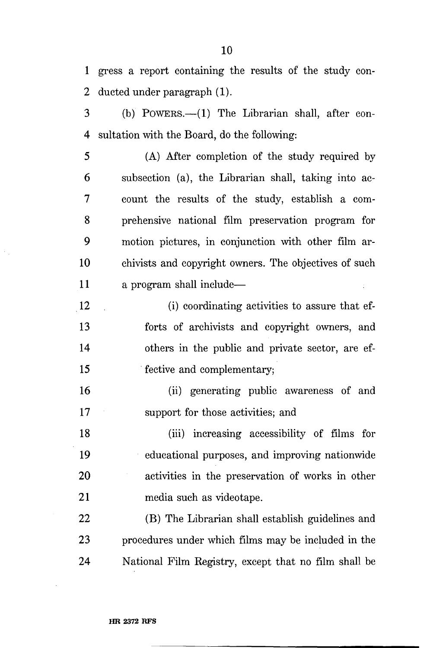1 gress a report containing the results of the study con-2 ducted under paragraph (1).

3 (b) POWERS.—(1) The Librarian shall, after con-4 sultation with the Board, do the following:

5 (A) After completion of the study required by 6 subsection (a), the Librarian shall, taking into ac-7 count the results of the study, establish a com-8 prehensive national film preservation program for 9 motion pictures, in conjunction with other film ar-10 chivists and copyright owners. The objectives of such 11 a program shall include—

12 (i) coordinating activities to assure that ef-13 forts of archivists and copyright owners, and 14 others in the public and private sector, are ef-15 fective and complementary;

16 (ii) generating public awareness of and 17 support for those activities; and

18 (hi) increasing accessibility of films for 19 educational purposes, and improving nationwide 20 activities in the preservation of works in other 21 media such as videotape.

22 (B) The Librarian shall establish guidelines and 23 procedures under which films may be included in the 24 National Film Registry, except that no film shall be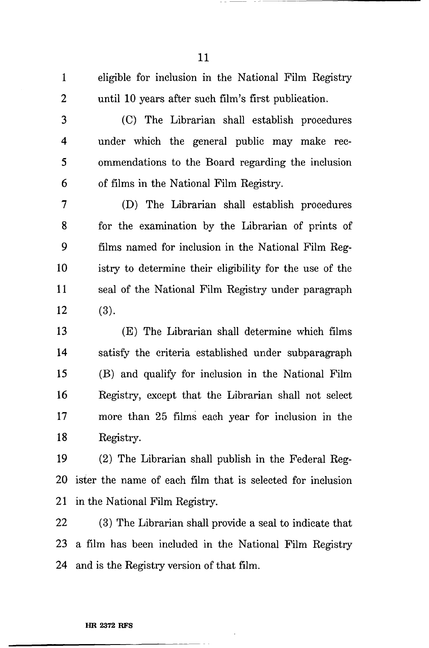1 eligible for inclusion in the National Film Registry 2 until 10 years after such film's first publication.

3 (C) The Librarian shall establish procedures 4 under which the general public may make rec-5 ommendations to the Board regarding the inclusion 6 of films in the National Film Registry.

7 (D) The Librarian shall establish procedures 8 for the examination by the Librarian of prints of 9 films named for inclusion in the National Film Reg-10 istry to determine their eligibility for the use of the 11 seal of the National Film Registry under paragraph  $12$  (3).

13 (E) The Librarian shall determine which films 14 satisfy the criteria established under subparagraph 15 (B) and qualify for inclusion in the National Film 16 Registry, except that the Librarian shall not select 17 more than 25 films each year for inclusion in the 18 Registry.

19 (2) The Librarian shall publish in the Federal Reg-20 ister the name of each film that is selected for inclusion 21 in the National Film Registry.

22 (3) The Librarian shall provide a seal to indicate that 23 a film has been included in the National Film Registry 24 and is the Registry version of that film.

#### **HR 2372 RFS**

11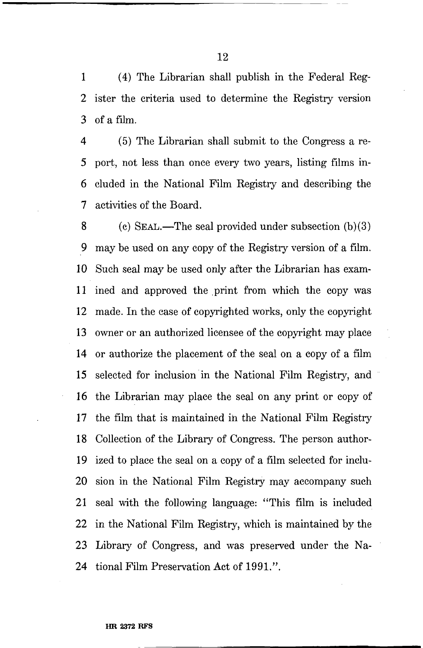1 (4) The Librarian shall publish in the Federal Reg-2 ister the criteria used to determine the Registry version 3 of a film.

4 (5) The Librarian shall submit to the Congress a re-5 port, not less than once every two years, listing films in-6 eluded in the National Film Registry and describing the 7 activities of the Board.

8 (c) SEAL.—The seal provided under subsection (b)(3) 9 may be used on any copy of the Registry version of a film. 10 Such seal may be used only after the Librarian has exam-11 ined and approved the print from which the copy was 12 made. In the case of copyrighted works, only the copyright 13 owner or an authorized licensee of the copyright may place 14 or authorize the placement of the seal on a copy of a film 15 selected for inclusion in the National Film Registry, and 16 the Librarian may place the seal on any print or copy of 17 the film that is maintained in the National Film Registry 18 Collection of the Library of Congress. The person author-19 ized to place the seal on a copy of a film selected for inclu-20 sion in the National Film Registry may accompany such 21 seal with the following language: "This film is included 22 in the National Film Registry, which is maintained by the 23 Library of Congress, and was preserved under the Na-24 tional Film Preservation Act of 1991.".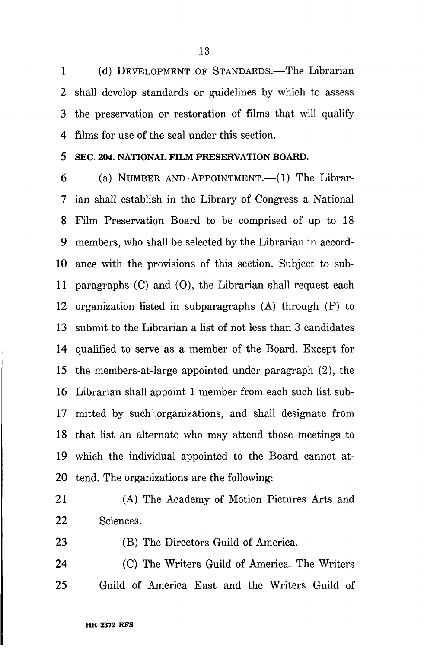1 (d) DEVELOPMENT OP STANDARDS.—The Librarian 2 shall develop standards or guidelines by which to assess 3 the preservation or restoration of films that will qualify 4 films for use of the seal under this section.

**5 SEC. 204. NATIONAL FILM PRESERVATION BOARD.** 

6 (a) NUMBER AND APPOINTMENT.—(1) The Librar-7 ian shall establish in the Library of Congress a National 8 Film Preservation Board to be comprised of up to 18 9 members, who shall be selected by the Librarian in accord-10 ance with the provisions of this section. Subject to sub-11 paragraphs (C) and (0), the Librarian shall request each 12 organization listed in subparagraphs (A) through (P) to 13 submit to the Librarian a list of not less than 3 candidates 14 qualified to serve as a member of the Board. Except for 15 the members-at-large appointed under paragraph (2), the 16 Librarian shall appoint 1 member from each such list sub-17 mitted by such organizations, and shall designate from 18 that list an alternate who may attend those meetings to 19 which the individual appointed to the Board cannot at-20 tend. The organizations are the following:

21 (A) The Academy of Motion Pictures Arts and 22 Sciences.

23 (B) The Directors Guild of America.

24 (C) The Writers Guild of America. The Writers 25 Guild of America East and the Writers Guild of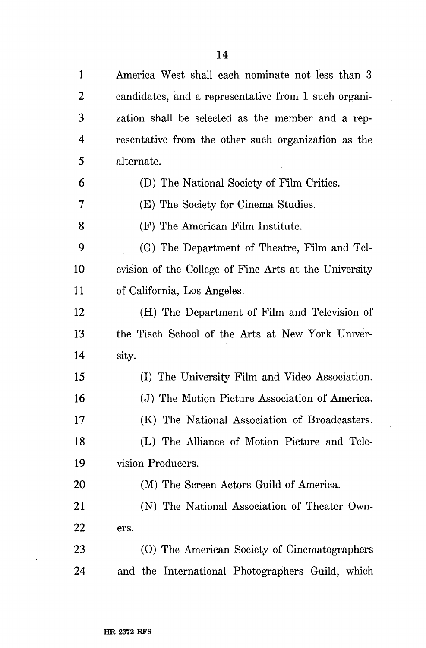| $\mathbf{1}$ | America West shall each nominate not less than 3      |
|--------------|-------------------------------------------------------|
| 2            | candidates, and a representative from 1 such organi-  |
| 3            | zation shall be selected as the member and a rep-     |
| 4            | resentative from the other such organization as the   |
| 5            | alternate.                                            |
| 6            | (D) The National Society of Film Critics.             |
| 7            | (E) The Society for Cinema Studies.                   |
| 8            | (F) The American Film Institute.                      |
| 9            | (G) The Department of Theatre, Film and Tel-          |
| 10           | evision of the College of Fine Arts at the University |
| 11           | of California, Los Angeles.                           |
| 12           | (H) The Department of Film and Television of          |
|              |                                                       |
| 13           | the Tisch School of the Arts at New York Univer-      |
| 14           | sity.                                                 |
| 15           | (I) The University Film and Video Association.        |
| 16           | (J) The Motion Picture Association of America.        |
| 17           | (K) The National Association of Broadcasters.         |
| 18           | (L) The Alliance of Motion Picture and Tele-          |
| 19           | vision Producers.                                     |
| 20           | (M) The Screen Actors Guild of America.               |
| 21           | (N) The National Association of Theater Own-          |
| 22           | ers.                                                  |
| 23           | (O) The American Society of Cinematographers          |

 $\hat{\mathcal{L}}$ 

 $\mathcal{L}$ 

 $\sim 10$ 

 $\hat{\boldsymbol{\beta}}$ 

 $\ddot{\phantom{a}}$ 

 $\ddot{\phantom{a}}$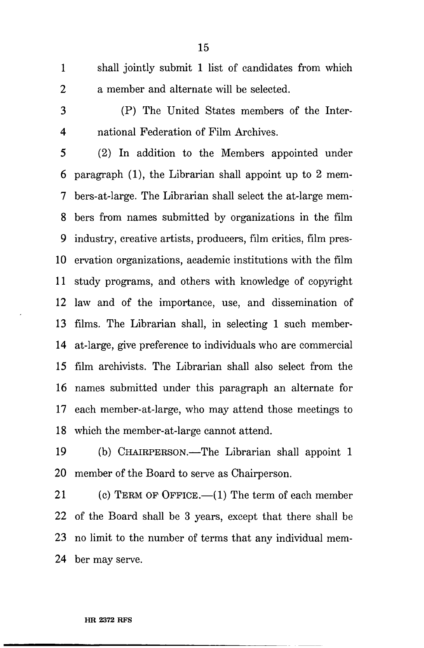- 1 shall jointly submit 1 list of candidates from which 2 a member and alternate will be selected.
- 

3 (P) The United States members of the Inter-4 national Federation of Film Archives.

5 (2) In addition to the Members appointed under 6 paragraph (1), the Librarian shall appoint up to 2 mem-7 bers-at-large. The Librarian shall select the at-large mem-8 bers from names submitted by organizations in the film 9 industry, creative artists, producers, film critics, film pres-10 ervation organizations, academic institutions with the film 11 study programs, and others with knowledge of copyright 12 law and of the importance, use, and dissemination of 13 films. The Librarian shall, in selecting 1 such member-14 at-large, give preference to individuals who are commercial 15 film archivists. The Librarian shall also select from the 16 names submitted under this paragraph an alternate for 17 each member-at-large, who may attend those meetings to 18 which the member-at-large cannot attend.

19 (b) CHAIRPERSON.—The Librarian shall appoint 1 20 member of the Board to serve as Chairperson.

21 (c) TERM OF OFFICE.—(1) The term of each member 22 of the Board shall be 3 years, except that there shall be 23 no limit to the number of terms that any individual mem-24 ber may serve.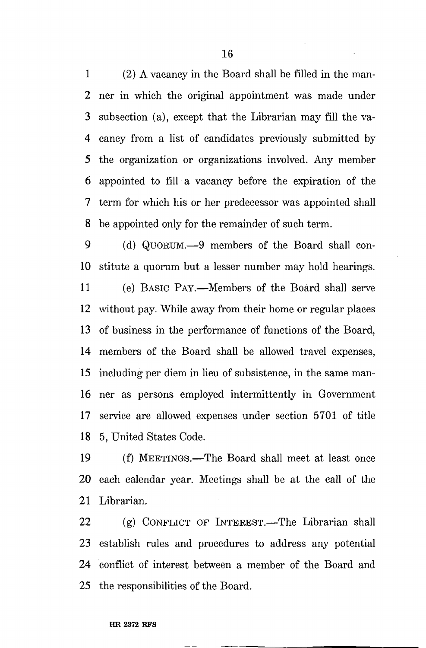1 (2) A vacancy in the Board shall be filled in the man-2 ner in which the original appointment was made under 3 subsection (a), except that the Librarian may fill the va-4 cancy from a list of candidates previously submitted by 5 the organization or organizations involved. Any member 6 appointed to fill a vacancy before the expiration of the 7 term for which his or her predecessor was appointed shall 8 be appointed only for the remainder of such term.

9 (d) QUORUM.—9 members of the Board shall con-10 stitute a quorum but a lesser number may hold hearings.

11 (e) BASIC PAY.—Members of the Board shall serve 12 without pay. While away from their home or regular places 13 of business in the performance of functions of the Board, 14 members of the Board shall be allowed travel expenses, 15 including per diem in lieu of subsistence, in the same man-16 ner as persons employed intermittently in Government 17 service are allowed expenses under section 5701 of title 18 5, United States Code.

19 (f) MEETINGS.—The Board shall meet at least once 20 each calendar year. Meetings shall be at the call of the 21 Librarian.

22 (g) CONFLICT OP INTEREST.—The Librarian shall 23 establish rules and procedures to address any potential 24 conflict of interest between a member of the Board and 25 the responsibilities of the Board.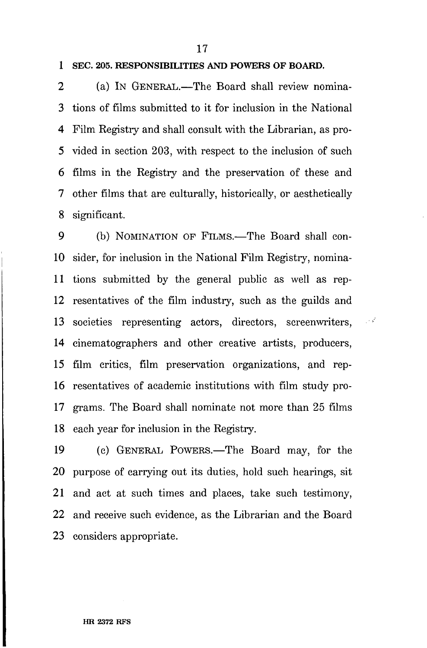17

# **1 SEC. 205. RESPONSIBILITIES AND POWERS OF BOARD.**

2 (a) IN GENERAL.—The Board shall review nomina-3 tions of films submitted to it for inclusion in the National 4 Film Registry and shall consult with the Librarian, as pro-5 vided in section 203, with respect to the inclusion of such 6 films in the Registry and the preservation of these and 7 other films that are culturally, historically, or aesthetically 8 significant.

9 (b) NOMINATION OP FILMS.—The Board shall con-10 sider, for inclusion in the National Film Registry, nomina-11 tions submitted by the general public as well as rep-12 resentatives of the film industry, such as the guilds and 13 societies representing actors, directors, screenwriters, 14 cinematographers and other creative artists, producers, 15 film critics, film preservation organizations, and rep-16 resentatives of academic institutions with film study pro-17 grams. The Board shall nominate not more than 25 films 18 each year for inclusion in the Registry.

 $\sim$   $\sim$ 

19 (c) GENERAL POWERS.—The Board may, for the 20 purpose of carrying out its duties, hold such hearings, sit 21 and act at such times and places, take such testimony, 22 and receive such evidence, as the Librarian and the Board 23 considers appropriate.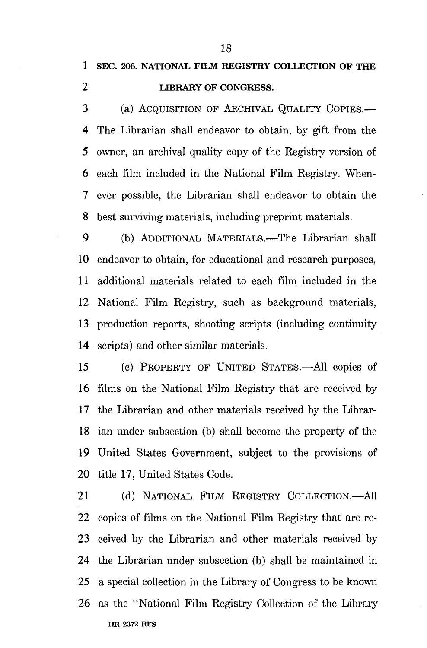3 (a) ACQUISITION OF ARCHIVAL QUALITY COPIES.— 4 The Librarian shall endeavor to obtain, by gift from the 5 owner, an archival quality copy of the Registry version of 6 each film included in the National Film Registry. When-7 ever possible, the Librarian shall endeavor to obtain the 8 best surviving materials, including preprint materials.

9 (b) ADDITIONAL MATERIALS.—The Librarian shall 10 endeavor to obtain, for educational and research purposes, 11 additional materials related to each film included in the 12 National Film Registry, such as background materials, 13 production reports, shooting scripts (including continuity 14 scripts) and other similar materials.

15 (c) PROPERTY OF UNITED STATES.—All copies of 16 films on the National Film Registry that are received by 17 the Librarian and other materials received by the Librar-18 ian under subsection (b) shall become the property of the 19 United States Government, subject to the provisions of 20 title 17, United States Code.

21 (d) NATIONAL FILM REGISTRY COLLECTION.—All 22 copies of films on the National Film Registry that are re-23 ceived by the Librarian and other materials received by 24 the Librarian under subsection (b) shall be maintained in 25 a special collection in the Library of Congress to be known 26 as the "National Film Registry Collection of the Library **HR 2372 RFS**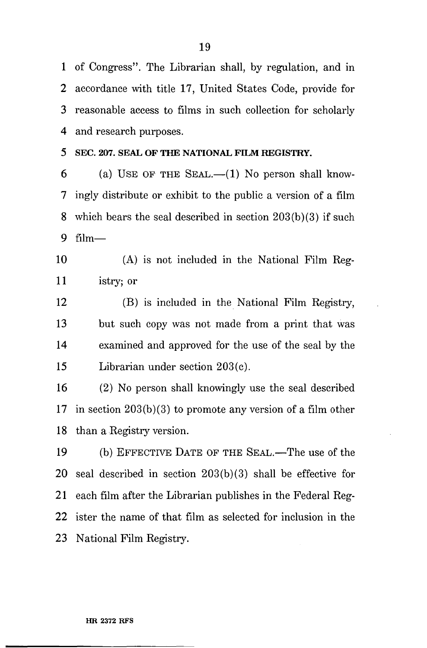1 of Congress". The Librarian shall, by regulation, and in 2 accordance with title 17, United States Code, provide for 3 reasonable access to films in such collection for scholarly 4 and research purposes.

**5 SEC. 207. SEAL OF THE NATIONAL FILM REGISTRY.** 

6 (a) USE OF THE SEAL.— $(1)$  No person shall know-7 ingly distribute or exhibit to the public a version of a film 8 which bears the seal described in section 203(b)(3) if such 9 film—

10 (A) is not included in the National Film Reg-11 istry; or

12 (B) is included in the National Film Registry, 13 but such copy was not made from a print that was 14 examined and approved for the use of the seal by the 15 Librarian under section 203(c).

16 (2) No person shall knowingly use the seal described 17 in section 203(b)(3) to promote any version of a film other 18 than a Registry version.

19 (b) EFFECTIVE DATE OF THE SEAL.—The use of the 20 seal described in section 203(b)(3) shall be effective for 21 each film after the Librarian publishes in the Federal Reg-22 ister the name of that film as selected for inclusion in the 23 National Film Registry.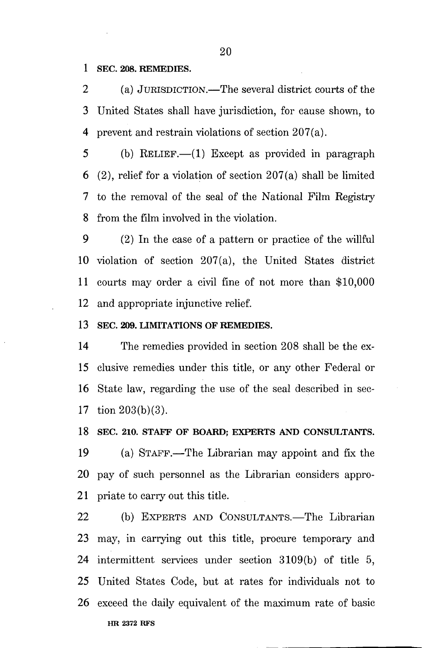1 SEC. 208. REMEDIES.

2 (a) JURISDICTION.—The several district courts of the 3 United States shall have jurisdiction, for cause shown, to 4 prevent and restrain violations of section 207(a).

5 (b) RELIEF.—(1) Except as provided in paragraph 6 (2), relief for a violation of section  $207(a)$  shall be limited 7 to the removal of the seal of the National Film Registry 8 from the film involved in the violation.

9 (2) In the case of a pattern or practice of the willful 10 violation of section 207(a), the United States district 11 courts may order a civil fine of not more than \$10,000 12 and appropriate injunctive relief.

13 SEC. 209. LIMITATIONS OF REMEDIES.

14 The remedies provided in section 208 shall be the ex-15 elusive remedies under this title, or any other Federal or 16 State law, regarding the use of the seal described in sec-17 tion 203(b)(3).

18 SEC. 210. STAFF OF BOARD; EXPERTS AND CONSULTANTS.

19 (a) STAFF.—The Librarian may appoint and fix the 20 pay of such personnel as the Librarian considers appro-21 priate to carry out this title.

22 (b) EXPERTS AND CONSULTANTS.—The Librarian 23 may, in carrying out this title, procure temporary and 24 intermittent services under section 3109(b) of title 5, 25 United States Code, but at rates for individuals not to 26 exceed the daily equivalent of the maximum rate of basic **HR 2372 RFS**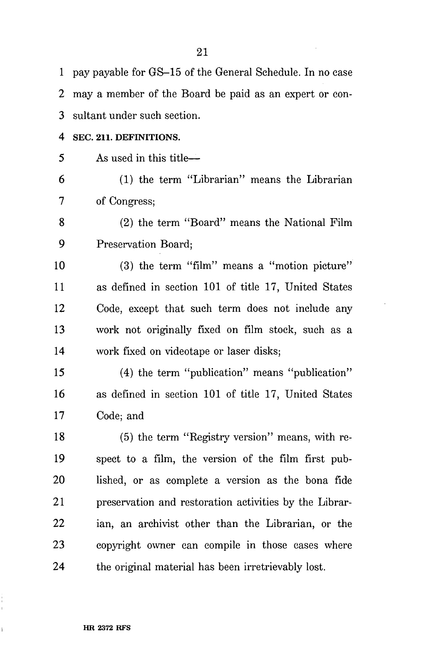| $\mathbf 1$ | pay payable for GS-15 of the General Schedule. In no case |
|-------------|-----------------------------------------------------------|
| 2           | may a member of the Board be paid as an expert or con-    |
| 3           | sultant under such section.                               |
| 4           | SEC. 211. DEFINITIONS.                                    |
| 5           | As used in this title—                                    |
| 6           | (1) the term "Librarian" means the Librarian              |
| 7           | of Congress;                                              |
| 8           | (2) the term "Board" means the National Film              |
| 9           | Preservation Board;                                       |
| 10          | $(3)$ the term "film" means a "motion picture"            |
| 11          | as defined in section 101 of title 17, United States      |
| 12          | Code, except that such term does not include any          |
| 13          | work not originally fixed on film stock, such as a        |
| 14          | work fixed on videotape or laser disks;                   |
| 15          | (4) the term "publication" means "publication"            |
| 16          | as defined in section 101 of title 17, United States      |
| 17          | Code; and                                                 |
| 18          | (5) the term "Registry version" means, with re-           |
| 19          | spect to a film, the version of the film first pub-       |
| 20          | lished, or as complete a version as the bona fide         |
| 21          | preservation and restoration activities by the Librar-    |
| 22          | ian, an archivist other than the Librarian, or the        |
| 23          | copyright owner can compile in those cases where          |
| 24          | the original material has been irretrievably lost.        |

 $\bar{\mathcal{A}}$ 

 $\hat{\mathcal{A}}$ 

#### **HR 2372 RFS**

i<br>L

 $\bar{\Gamma}$